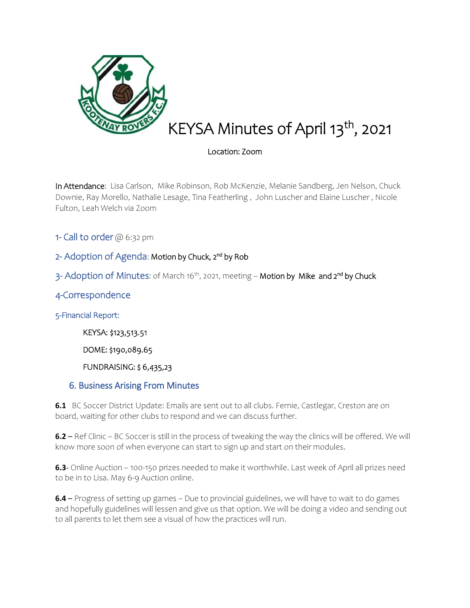

# KEYSA Minutes of April 13<sup>th</sup>, 2021

### Location: Zoom

In Attendance: Lisa Carlson, Mike Robinson, Rob McKenzie, Melanie Sandberg, Jen Nelson, Chuck Downie, Ray Morello, Nathalie Lesage, Tina Featherling , John Luscher and Elaine Luscher , Nicole Fulton, Leah Welch via Zoom

1- Call to order @ 6:32 pm

## 2- Adoption of Agenda: Motion by Chuck, 2<sup>nd</sup> by Rob

3- Adoption of Minutes: of March 16<sup>th</sup>, 2021, meeting – **Motion by Mike and 2<sup>nd</sup> by Chuck** 

## 4-Correspondence

5-Financial Report:

KEYSA: \$123,513.51

DOME: \$190,089.65

FUNDRAISING: \$ 6,435,23

#### 6. Business Arising From Minutes

**6.1** BC Soccer District Update: Emails are sent out to all clubs. Fernie, Castlegar, Creston are on board, waiting for other clubs to respond and we can discuss further.

**6.2** – Ref Clinic – BC Soccer is still in the process of tweaking the way the clinics will be offered. We will know more soon of when everyone can start to sign up and start on their modules.

**6.3**- Online Auction – 100-150 prizes needed to make it worthwhile. Last week of April all prizes need to be in to Lisa. May 6-9 Auction online.

**6.4** – Progress of setting up games – Due to provincial guidelines, we will have to wait to do games and hopefully guidelines will lessen and give us that option. We will be doing a video and sending out to all parents to let them see a visual of how the practices will run.